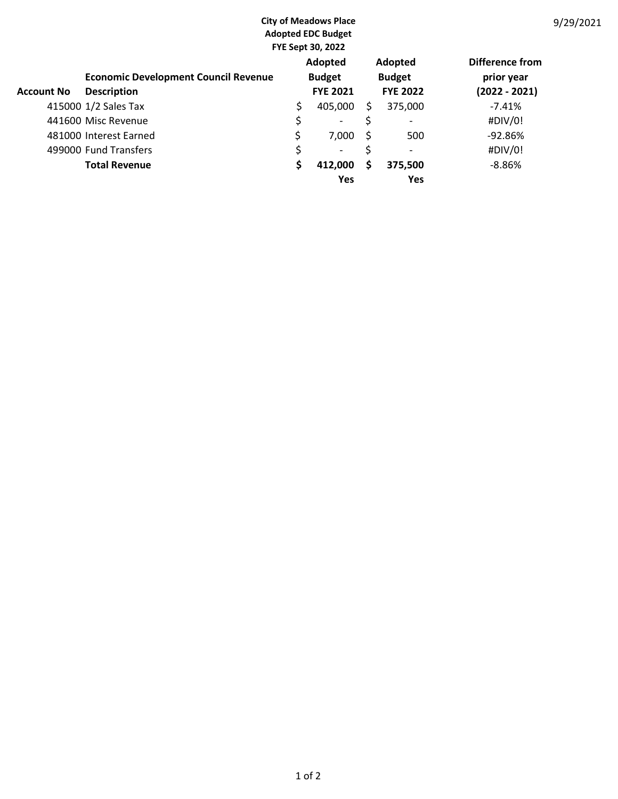|                   | <b>City of Meadows Place</b><br><b>Adopted EDC Budget</b><br><b>FYE Sept 30, 2022</b> |    |                                             |    |                                                    |                                                  |
|-------------------|---------------------------------------------------------------------------------------|----|---------------------------------------------|----|----------------------------------------------------|--------------------------------------------------|
| <b>Account No</b> | <b>Economic Development Council Revenue</b><br><b>Description</b>                     |    | Adopted<br><b>Budget</b><br><b>FYE 2021</b> |    | <b>Adopted</b><br><b>Budget</b><br><b>FYE 2022</b> | Difference from<br>prior year<br>$(2022 - 2021)$ |
|                   | 415000 1/2 Sales Tax                                                                  | \$ | 405,000                                     | Ś. | 375,000                                            | $-7.41%$                                         |
|                   | 441600 Misc Revenue                                                                   | \$ | -                                           | \$ | $\overline{\phantom{0}}$                           | #DIV/0!                                          |
|                   | 481000 Interest Earned                                                                | \$ | 7,000                                       | Ŝ  | 500                                                | $-92.86%$                                        |
|                   | 499000 Fund Transfers                                                                 | \$ | $\overline{\phantom{a}}$                    | \$ | $\overline{\phantom{0}}$                           | #DIV/0!                                          |
|                   | <b>Total Revenue</b>                                                                  | \$ | 412,000                                     | \$ | 375,500                                            | $-8.86%$                                         |
|                   |                                                                                       |    | Yes                                         |    | Yes                                                |                                                  |

9/29/2021